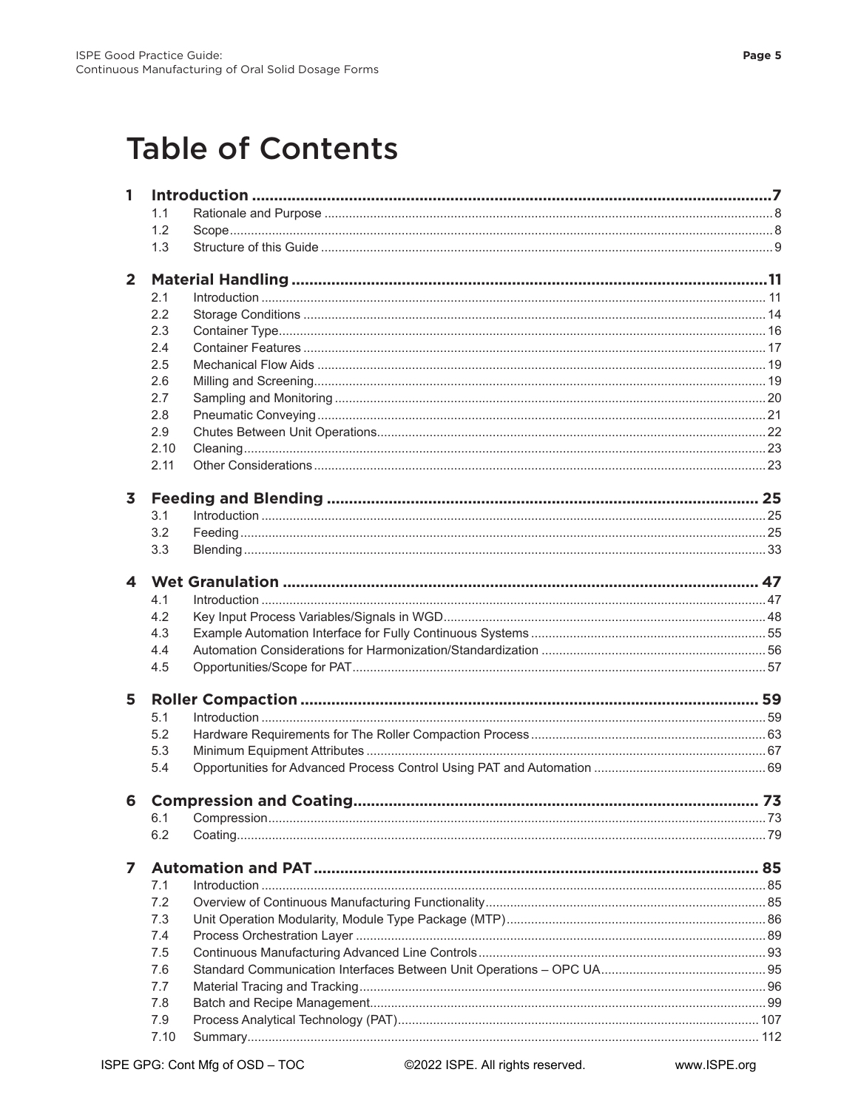## **Table of Contents**

| $\mathbf{1}$     |      |                   |  |  |  |
|------------------|------|-------------------|--|--|--|
|                  | 1.1  |                   |  |  |  |
|                  | 1.2  |                   |  |  |  |
|                  | 1.3  |                   |  |  |  |
| $\overline{2}$   |      |                   |  |  |  |
|                  | 2.1  | $Introduction 11$ |  |  |  |
|                  | 2.2  |                   |  |  |  |
|                  | 2.3  |                   |  |  |  |
|                  | 2.4  |                   |  |  |  |
|                  | 2.5  |                   |  |  |  |
|                  | 2.6  |                   |  |  |  |
|                  | 2.7  |                   |  |  |  |
|                  | 2.8  |                   |  |  |  |
|                  | 2.9  |                   |  |  |  |
|                  | 2.10 |                   |  |  |  |
|                  | 2.11 |                   |  |  |  |
| 3                |      |                   |  |  |  |
|                  | 3.1  |                   |  |  |  |
|                  | 3.2  |                   |  |  |  |
|                  | 3.3  |                   |  |  |  |
| $\blacktriangle$ |      |                   |  |  |  |
|                  | 4.1  |                   |  |  |  |
|                  | 4.2  |                   |  |  |  |
|                  | 4.3  |                   |  |  |  |
|                  | 4.4  |                   |  |  |  |
|                  | 4.5  |                   |  |  |  |
| 5                |      |                   |  |  |  |
|                  | 5.1  |                   |  |  |  |
|                  | 5.2  |                   |  |  |  |
|                  | 5.3  |                   |  |  |  |
|                  | 5.4  |                   |  |  |  |
| 6                |      |                   |  |  |  |
|                  | 6.1  |                   |  |  |  |
|                  | 6.2  |                   |  |  |  |
| 7                |      |                   |  |  |  |
|                  | 7.1  |                   |  |  |  |
|                  | 7.2  |                   |  |  |  |
|                  | 7.3  |                   |  |  |  |
|                  | 7.4  |                   |  |  |  |
|                  | 7.5  |                   |  |  |  |
|                  | 7.6  |                   |  |  |  |
|                  | 7.7  |                   |  |  |  |
|                  | 7.8  |                   |  |  |  |
|                  | 7.9  |                   |  |  |  |
|                  | 7.10 |                   |  |  |  |
|                  |      |                   |  |  |  |